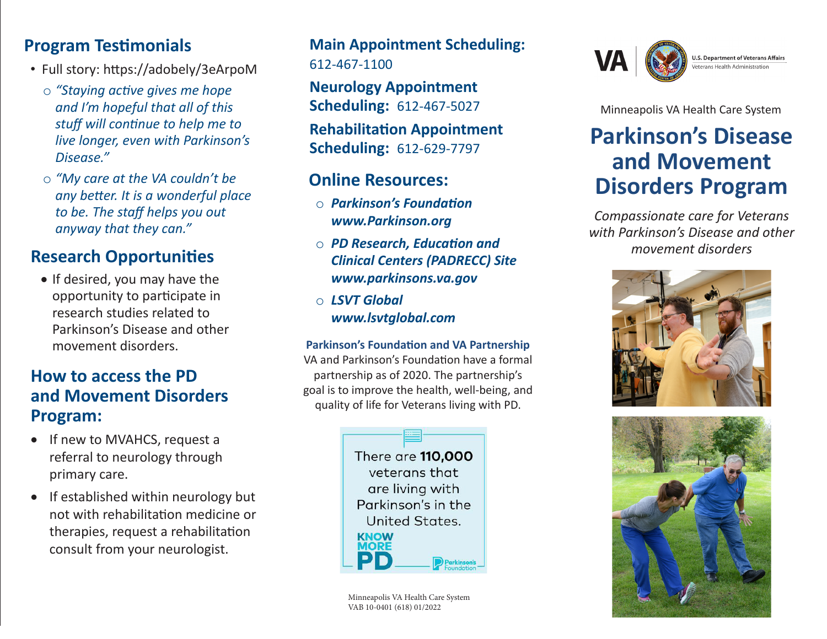## **Program Testimonials**

- Full story: https://adobely/3eArpoM
	- o *"Staying active gives me hope and I'm hopeful that all of this stuff will continue to help me to live longer, even with Parkinson's Disease."*
	- o *"My care at the VA couldn't be any better. It is a wonderful place to be. The staff helps you out anyway that they can."*

# **Research Opportunities**

• If desired, you may have the opportunity to participate in research studies related to Parkinson's Disease and other movement disorders.

## **How to access the PD and Movement Disorders Program:**

- If new to MVAHCS, request a referral to neurology through primary care.
- If established within neurology but not with rehabilitation medicine or therapies, request a rehabilitation consult from your neurologist.

## **Main Appointment Scheduling:**  612-467-1100

**Neurology Appointment Scheduling:** 612-467-5027

**Rehabilitation Appointment Scheduling:** 612-629-7797

## **Online Resources:**

- o *Parkinson's Foundation www.Parkinson.org*
- o *PD Research, Education and Clinical Centers (PADRECC) Site www.parkinsons.va.gov*
- o *LSVT Global www.lsvtglobal.com*

#### **Parkinson's Foundation and VA Partnership**

VA and Parkinson's Foundation have a formal partnership as of 2020. The partnership's goal is to improve the health, well-being, and quality of life for Veterans living with PD.



Minneapolis VA Health Care System VAB 10-0401 (618) 01/2022



**U.S. Department of Veterans Affairs** eterans Health Administration

Minneapolis VA Health Care System

# **Parkinson's Disease and Movement Disorders Program**

*Compassionate care for Veterans with Parkinson's Disease and other movement disorders*